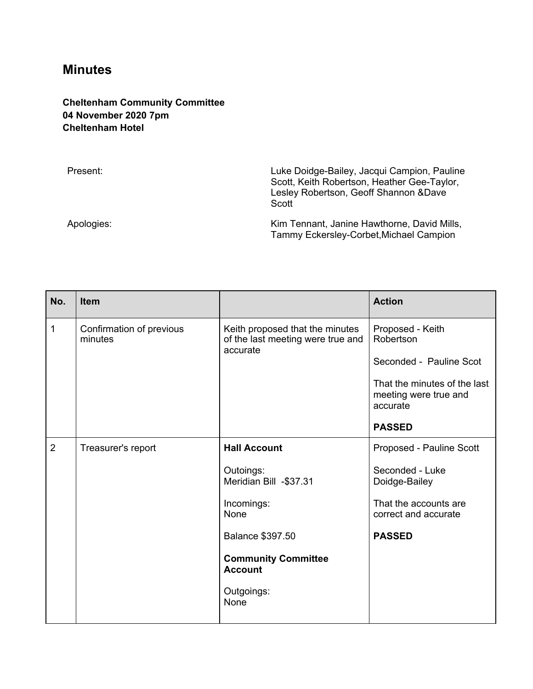## **Minutes**

## **Cheltenham Community Committee 04 November 2020 7pm Cheltenham Hotel**

Present: **Present: Present: Luke Doidge-Bailey, Jacqui Campion, Pauline** Scott, Keith Robertson, Heather Gee-Taylor, Lesley Robertson, Geoff Shannon &Dave **Scott** Apologies: Apologies: Apologies: Apologies: Kim Tennant, Janine Hawthorne, David Mills, Tammy Eckersley-Corbet,Michael Campion

| No.            | <b>Item</b>                         |                                                                                  | <b>Action</b>                                                     |
|----------------|-------------------------------------|----------------------------------------------------------------------------------|-------------------------------------------------------------------|
| $\mathbf{1}$   | Confirmation of previous<br>minutes | Keith proposed that the minutes<br>of the last meeting were true and<br>accurate | Proposed - Keith<br>Robertson                                     |
|                |                                     |                                                                                  | Seconded - Pauline Scot                                           |
|                |                                     |                                                                                  | That the minutes of the last<br>meeting were true and<br>accurate |
|                |                                     |                                                                                  | <b>PASSED</b>                                                     |
| $\overline{2}$ | Treasurer's report                  | <b>Hall Account</b>                                                              | Proposed - Pauline Scott                                          |
|                |                                     | Outoings:<br>Meridian Bill -\$37.31                                              | Seconded - Luke<br>Doidge-Bailey                                  |
|                |                                     | Incomings:<br><b>None</b>                                                        | That the accounts are<br>correct and accurate                     |
|                |                                     | Balance \$397.50                                                                 | <b>PASSED</b>                                                     |
|                |                                     | <b>Community Committee</b><br><b>Account</b>                                     |                                                                   |
|                |                                     | Outgoings:<br>None                                                               |                                                                   |
|                |                                     |                                                                                  |                                                                   |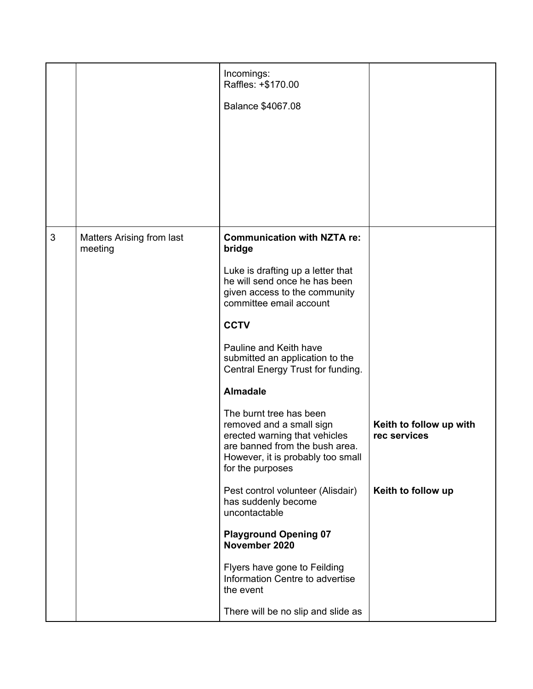|   |                                      | Incomings:<br>Raffles: +\$170.00                                                                                                                                                |                                         |
|---|--------------------------------------|---------------------------------------------------------------------------------------------------------------------------------------------------------------------------------|-----------------------------------------|
|   |                                      | Balance \$4067.08                                                                                                                                                               |                                         |
|   |                                      |                                                                                                                                                                                 |                                         |
|   |                                      |                                                                                                                                                                                 |                                         |
|   |                                      |                                                                                                                                                                                 |                                         |
|   |                                      |                                                                                                                                                                                 |                                         |
|   |                                      |                                                                                                                                                                                 |                                         |
| 3 | Matters Arising from last<br>meeting | <b>Communication with NZTA re:</b><br>bridge                                                                                                                                    |                                         |
|   |                                      | Luke is drafting up a letter that<br>he will send once he has been<br>given access to the community<br>committee email account                                                  |                                         |
|   |                                      | <b>CCTV</b>                                                                                                                                                                     |                                         |
|   |                                      | Pauline and Keith have<br>submitted an application to the<br>Central Energy Trust for funding.                                                                                  |                                         |
|   |                                      | <b>Almadale</b>                                                                                                                                                                 |                                         |
|   |                                      | The burnt tree has been<br>removed and a small sign<br>erected warning that vehicles<br>are banned from the bush area.<br>However, it is probably too small<br>for the purposes | Keith to follow up with<br>rec services |
|   |                                      | Pest control volunteer (Alisdair)<br>has suddenly become<br>uncontactable                                                                                                       | Keith to follow up                      |
|   |                                      | <b>Playground Opening 07</b><br>November 2020                                                                                                                                   |                                         |
|   |                                      | Flyers have gone to Feilding<br>Information Centre to advertise<br>the event                                                                                                    |                                         |
|   |                                      | There will be no slip and slide as                                                                                                                                              |                                         |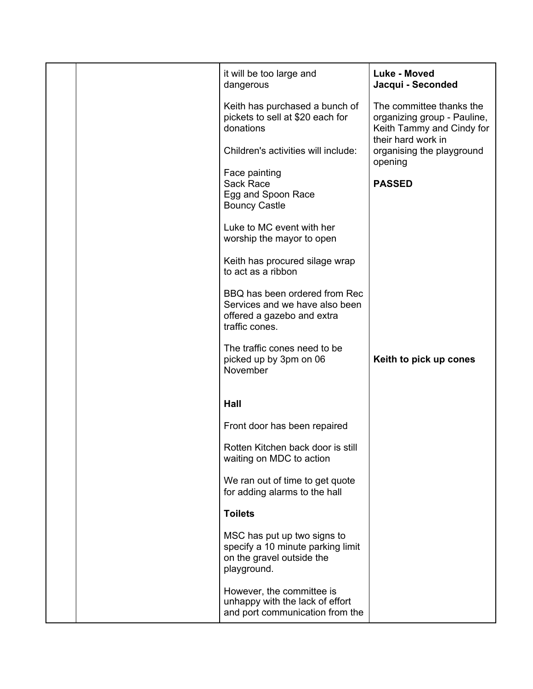|  | it will be too large and<br>dangerous                                                                           | Luke - Moved<br>Jacqui - Seconded                                                                          |
|--|-----------------------------------------------------------------------------------------------------------------|------------------------------------------------------------------------------------------------------------|
|  | Keith has purchased a bunch of<br>pickets to sell at \$20 each for<br>donations                                 | The committee thanks the<br>organizing group - Pauline,<br>Keith Tammy and Cindy for<br>their hard work in |
|  | Children's activities will include:                                                                             | organising the playground<br>opening                                                                       |
|  | Face painting<br>Sack Race<br>Egg and Spoon Race<br><b>Bouncy Castle</b>                                        | <b>PASSED</b>                                                                                              |
|  | Luke to MC event with her<br>worship the mayor to open                                                          |                                                                                                            |
|  | Keith has procured silage wrap<br>to act as a ribbon                                                            |                                                                                                            |
|  | BBQ has been ordered from Rec<br>Services and we have also been<br>offered a gazebo and extra<br>traffic cones. |                                                                                                            |
|  | The traffic cones need to be<br>picked up by 3pm on 06<br>November                                              | Keith to pick up cones                                                                                     |
|  | Hall                                                                                                            |                                                                                                            |
|  | Front door has been repaired                                                                                    |                                                                                                            |
|  | Rotten Kitchen back door is still<br>waiting on MDC to action                                                   |                                                                                                            |
|  | We ran out of time to get quote<br>for adding alarms to the hall                                                |                                                                                                            |
|  | <b>Toilets</b>                                                                                                  |                                                                                                            |
|  | MSC has put up two signs to<br>specify a 10 minute parking limit<br>on the gravel outside the<br>playground.    |                                                                                                            |
|  | However, the committee is<br>unhappy with the lack of effort<br>and port communication from the                 |                                                                                                            |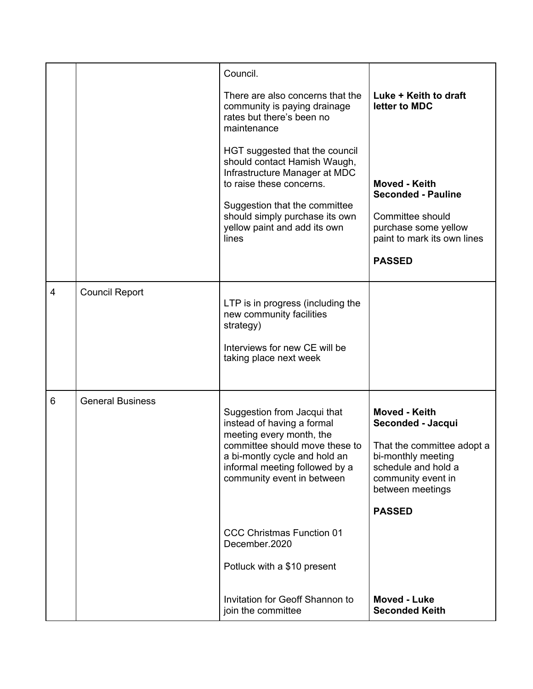|   |                         | Council.                                                                                                                                                                                                                 |                                                                                                                                                                          |
|---|-------------------------|--------------------------------------------------------------------------------------------------------------------------------------------------------------------------------------------------------------------------|--------------------------------------------------------------------------------------------------------------------------------------------------------------------------|
|   |                         | There are also concerns that the<br>community is paying drainage<br>rates but there's been no<br>maintenance                                                                                                             | Luke + Keith to draft<br>letter to MDC                                                                                                                                   |
|   |                         | HGT suggested that the council<br>should contact Hamish Waugh,<br>Infrastructure Manager at MDC<br>to raise these concerns.                                                                                              | Moved - Keith<br><b>Seconded - Pauline</b>                                                                                                                               |
|   |                         | Suggestion that the committee<br>should simply purchase its own<br>yellow paint and add its own<br>lines                                                                                                                 | Committee should<br>purchase some yellow<br>paint to mark its own lines                                                                                                  |
|   |                         |                                                                                                                                                                                                                          | <b>PASSED</b>                                                                                                                                                            |
| 4 | <b>Council Report</b>   | LTP is in progress (including the<br>new community facilities<br>strategy)<br>Interviews for new CE will be<br>taking place next week                                                                                    |                                                                                                                                                                          |
| 6 | <b>General Business</b> | Suggestion from Jacqui that<br>instead of having a formal<br>meeting every month, the<br>committee should move these to<br>a bi-montly cycle and hold an<br>informal meeting followed by a<br>community event in between | Moved - Keith<br>Seconded - Jacqui<br>That the committee adopt a<br>bi-monthly meeting<br>schedule and hold a<br>community event in<br>between meetings<br><b>PASSED</b> |
|   |                         | <b>CCC Christmas Function 01</b><br>December.2020                                                                                                                                                                        |                                                                                                                                                                          |
|   |                         | Potluck with a \$10 present                                                                                                                                                                                              |                                                                                                                                                                          |
|   |                         | Invitation for Geoff Shannon to<br>join the committee                                                                                                                                                                    | <b>Moved - Luke</b><br><b>Seconded Keith</b>                                                                                                                             |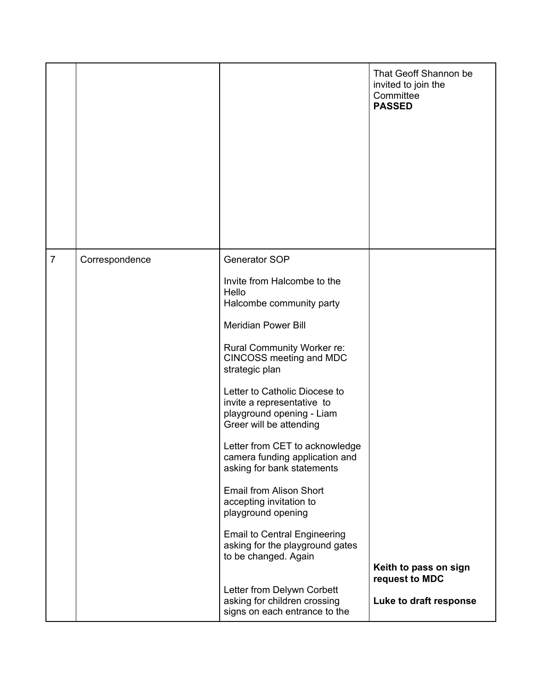|                |                |                                                                                                                                                                                                                                                                                                                                                                                                                                                                                                                                                                                                                                                                                                  | That Geoff Shannon be<br>invited to join the<br>Committee<br><b>PASSED</b> |
|----------------|----------------|--------------------------------------------------------------------------------------------------------------------------------------------------------------------------------------------------------------------------------------------------------------------------------------------------------------------------------------------------------------------------------------------------------------------------------------------------------------------------------------------------------------------------------------------------------------------------------------------------------------------------------------------------------------------------------------------------|----------------------------------------------------------------------------|
| $\overline{7}$ | Correspondence | Generator SOP<br>Invite from Halcombe to the<br>Hello<br>Halcombe community party<br><b>Meridian Power Bill</b><br>Rural Community Worker re:<br>CINCOSS meeting and MDC<br>strategic plan<br>Letter to Catholic Diocese to<br>invite a representative to<br>playground opening - Liam<br>Greer will be attending<br>Letter from CET to acknowledge<br>camera funding application and<br>asking for bank statements<br>Email from Alison Short<br>accepting invitation to<br>playground opening<br><b>Email to Central Engineering</b><br>asking for the playground gates<br>to be changed. Again<br>Letter from Delywn Corbett<br>asking for children crossing<br>signs on each entrance to the | Keith to pass on sign<br>request to MDC<br>Luke to draft response          |